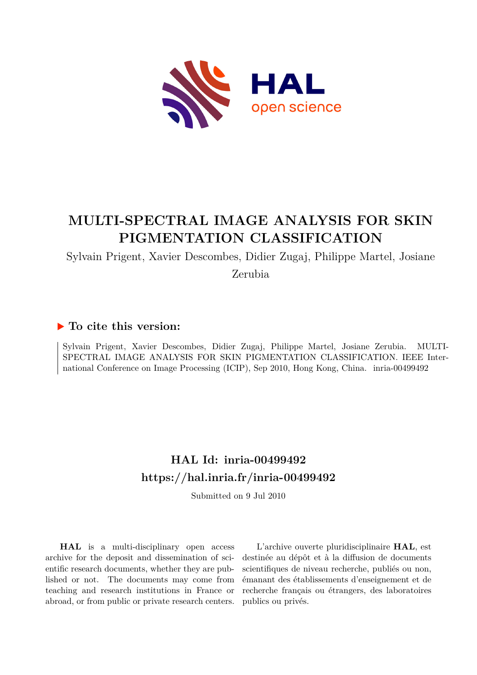

# **MULTI-SPECTRAL IMAGE ANALYSIS FOR SKIN PIGMENTATION CLASSIFICATION**

Sylvain Prigent, Xavier Descombes, Didier Zugaj, Philippe Martel, Josiane

Zerubia

# **To cite this version:**

Sylvain Prigent, Xavier Descombes, Didier Zugaj, Philippe Martel, Josiane Zerubia. MULTI-SPECTRAL IMAGE ANALYSIS FOR SKIN PIGMENTATION CLASSIFICATION. IEEE International Conference on Image Processing (ICIP), Sep 2010, Hong Kong, China. inria-00499492

# **HAL Id: inria-00499492 <https://hal.inria.fr/inria-00499492>**

Submitted on 9 Jul 2010

**HAL** is a multi-disciplinary open access archive for the deposit and dissemination of scientific research documents, whether they are published or not. The documents may come from teaching and research institutions in France or abroad, or from public or private research centers.

L'archive ouverte pluridisciplinaire **HAL**, est destinée au dépôt et à la diffusion de documents scientifiques de niveau recherche, publiés ou non, émanant des établissements d'enseignement et de recherche français ou étrangers, des laboratoires publics ou privés.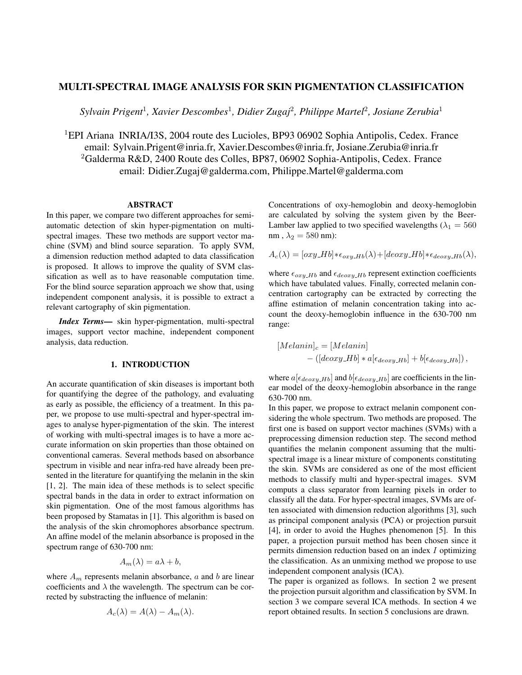# MULTI-SPECTRAL IMAGE ANALYSIS FOR SKIN PIGMENTATION CLASSIFICATION

*Sylvain Prigent*<sup>1</sup> *, Xavier Descombes*<sup>1</sup> *, Didier Zugaj*<sup>2</sup> *, Philippe Martel*<sup>2</sup> *, Josiane Zerubia*<sup>1</sup>

<sup>1</sup>EPI Ariana INRIA/I3S, 2004 route des Lucioles, BP93 06902 Sophia Antipolis, Cedex. France email: Sylvain.Prigent@inria.fr, Xavier.Descombes@inria.fr, Josiane.Zerubia@inria.fr <sup>2</sup>Galderma R&D, 2400 Route des Colles, BP87, 06902 Sophia-Antipolis, Cedex. France email: Didier.Zugaj@galderma.com, Philippe.Martel@galderma.com

#### ABSTRACT

In this paper, we compare two different approaches for semiautomatic detection of skin hyper-pigmentation on multispectral images. These two methods are support vector machine (SVM) and blind source separation. To apply SVM, a dimension reduction method adapted to data classification is proposed. It allows to improve the quality of SVM classification as well as to have reasonable computation time. For the blind source separation approach we show that, using independent component analysis, it is possible to extract a relevant cartography of skin pigmentation.

*Index Terms*— skin hyper-pigmentation, multi-spectral images, support vector machine, independent component analysis, data reduction.

### 1. INTRODUCTION

An accurate quantification of skin diseases is important both for quantifying the degree of the pathology, and evaluating as early as possible, the efficiency of a treatment. In this paper, we propose to use multi-spectral and hyper-spectral images to analyse hyper-pigmentation of the skin. The interest of working with multi-spectral images is to have a more accurate information on skin properties than those obtained on conventional cameras. Several methods based on absorbance spectrum in visible and near infra-red have already been presented in the literature for quantifying the melanin in the skin [1, 2]. The main idea of these methods is to select specific spectral bands in the data in order to extract information on skin pigmentation. One of the most famous algorithms has been proposed by Stamatas in [1]. This algorithm is based on the analysis of the skin chromophores absorbance spectrum. An affine model of the melanin absorbance is proposed in the spectrum range of 630-700 nm:

$$
A_m(\lambda) = a\lambda + b,
$$

where  $A_m$  represents melanin absorbance,  $a$  and  $b$  are linear coefficients and  $\lambda$  the wavelength. The spectrum can be corrected by substracting the influence of melanin:

$$
A_c(\lambda) = A(\lambda) - A_m(\lambda).
$$

Concentrations of oxy-hemoglobin and deoxy-hemoglobin are calculated by solving the system given by the Beer-Lamber law applied to two specified wavelengths ( $\lambda_1 = 560$ nm,  $\lambda_2 = 580$  nm):

$$
A_c(\lambda) = [\alpha xy \_H b] * \epsilon_{\alpha xy \_H b}(\lambda) + [de \alpha xy \_H b] * \epsilon_{de \alpha xy \_H b}(\lambda),
$$

where  $\epsilon_{oxy-Hb}$  and  $\epsilon_{decay-Hb}$  represent extinction coefficients which have tabulated values. Finally, corrected melanin concentration cartography can be extracted by correcting the affine estimation of melanin concentration taking into account the deoxy-hemoglobin influence in the 630-700 nm range:

$$
[Melanin]_c = [Melanin]
$$
  
- ([deoxy.Hb] \* a[ $\epsilon_{deoxy.Hb}$ ] + b[ $\epsilon_{deoxy.Hb}$ ]),

where  $a[\epsilon_{deoxy.Hb}]$  and  $b[\epsilon_{deoxy.Hb}]$  are coefficients in the linear model of the deoxy-hemoglobin absorbance in the range 630-700 nm.

In this paper, we propose to extract melanin component considering the whole spectrum. Two methods are proposed. The first one is based on support vector machines (SVMs) with a preprocessing dimension reduction step. The second method quantifies the melanin component assuming that the multispectral image is a linear mixture of components constituting the skin. SVMs are considered as one of the most efficient methods to classify multi and hyper-spectral images. SVM computs a class separator from learning pixels in order to classify all the data. For hyper-spectral images, SVMs are often associated with dimension reduction algorithms [3], such as principal component analysis (PCA) or projection pursuit [4], in order to avoid the Hughes phenomenon [5]. In this paper, a projection pursuit method has been chosen since it permits dimension reduction based on an index I optimizing the classification. As an unmixing method we propose to use independent component analysis (ICA).

The paper is organized as follows. In section 2 we present the projection pursuit algorithm and classification by SVM. In section 3 we compare several ICA methods. In section 4 we report obtained results. In section 5 conclusions are drawn.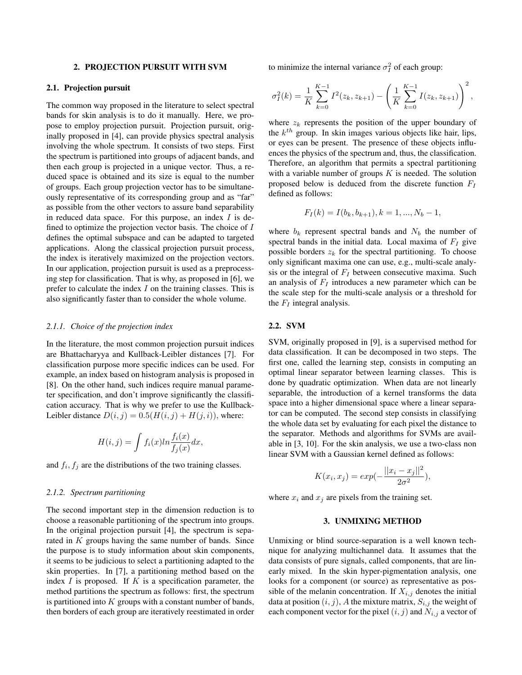#### 2. PROJECTION PURSUIT WITH SVM

#### 2.1. Projection pursuit

The common way proposed in the literature to select spectral bands for skin analysis is to do it manually. Here, we propose to employ projection pursuit. Projection pursuit, originally proposed in [4], can provide physics spectral analysis involving the whole spectrum. It consists of two steps. First the spectrum is partitioned into groups of adjacent bands, and then each group is projected in a unique vector. Thus, a reduced space is obtained and its size is equal to the number of groups. Each group projection vector has to be simultaneously representative of its corresponding group and as "far" as possible from the other vectors to assure band separability in reduced data space. For this purpose, an index  $I$  is defined to optimize the projection vector basis. The choice of  $I$ defines the optimal subspace and can be adapted to targeted applications. Along the classical projection pursuit process, the index is iteratively maximized on the projection vectors. In our application, projection pursuit is used as a preprocessing step for classification. That is why, as proposed in [6], we prefer to calculate the index  $I$  on the training classes. This is also significantly faster than to consider the whole volume.

#### *2.1.1. Choice of the projection index*

In the literature, the most common projection pursuit indices are Bhattacharyya and Kullback-Leibler distances [7]. For classification purpose more specific indices can be used. For example, an index based on histogram analysis is proposed in [8]. On the other hand, such indices require manual parameter specification, and don't improve significantly the classification accuracy. That is why we prefer to use the Kullback-Leibler distance  $D(i, j) = 0.5(H(i, j) + H(j, i))$ , where:

$$
H(i,j) = \int f_i(x) \ln \frac{f_i(x)}{f_j(x)} dx,
$$

and  $f_i, f_j$  are the distributions of the two training classes.

#### *2.1.2. Spectrum partitioning*

The second important step in the dimension reduction is to choose a reasonable partitioning of the spectrum into groups. In the original projection pursuit [4], the spectrum is separated in K groups having the same number of bands. Since the purpose is to study information about skin components, it seems to be judicious to select a partitioning adapted to the skin properties. In [7], a partitioning method based on the index  $I$  is proposed. If  $K$  is a specification parameter, the method partitions the spectrum as follows: first, the spectrum is partitioned into  $K$  groups with a constant number of bands, then borders of each group are iteratively reestimated in order

to minimize the internal variance  $\sigma_I^2$  of each group:

$$
\sigma_I^2(k) = \frac{1}{K} \sum_{k=0}^{K-1} I^2(z_k, z_{k+1}) - \left(\frac{1}{K} \sum_{k=0}^{K-1} I(z_k, z_{k+1})\right)^2,
$$

where  $z_k$  represents the position of the upper boundary of the  $k^{th}$  group. In skin images various objects like hair, lips, or eyes can be present. The presence of these objects influences the physics of the spectrum and, thus, the classification. Therefore, an algorithm that permits a spectral partitioning with a variable number of groups  $K$  is needed. The solution proposed below is deduced from the discrete function  $F_I$ defined as follows:

$$
F_I(k) = I(b_k, b_{k+1}), k = 1, ..., N_b - 1,
$$

where  $b_k$  represent spectral bands and  $N_b$  the number of spectral bands in the initial data. Local maxima of  $F_I$  give possible borders  $z_k$  for the spectral partitioning. To choose only significant maxima one can use, e.g., multi-scale analysis or the integral of  $F_I$  between consecutive maxima. Such an analysis of  $F_I$  introduces a new parameter which can be the scale step for the multi-scale analysis or a threshold for the  $F_I$  integral analysis.

#### 2.2. SVM

SVM, originally proposed in [9], is a supervised method for data classification. It can be decomposed in two steps. The first one, called the learning step, consists in computing an optimal linear separator between learning classes. This is done by quadratic optimization. When data are not linearly separable, the introduction of a kernel transforms the data space into a higher dimensional space where a linear separator can be computed. The second step consists in classifying the whole data set by evaluating for each pixel the distance to the separator. Methods and algorithms for SVMs are available in [3, 10]. For the skin analysis, we use a two-class non linear SVM with a Gaussian kernel defined as follows:

$$
K(x_i, x_j) = exp(-\frac{||x_i - x_j||^2}{2\sigma^2}),
$$

where  $x_i$  and  $x_j$  are pixels from the training set.

#### 3. UNMIXING METHOD

Unmixing or blind source-separation is a well known technique for analyzing multichannel data. It assumes that the data consists of pure signals, called components, that are linearly mixed. In the skin hyper-pigmentation analysis, one looks for a component (or source) as representative as possible of the melanin concentration. If  $X_{i,j}$  denotes the initial data at position  $(i, j)$ , A the mixture matrix,  $S_{i,j}$  the weight of each component vector for the pixel  $(i, j)$  and  $N_{i,j}$  a vector of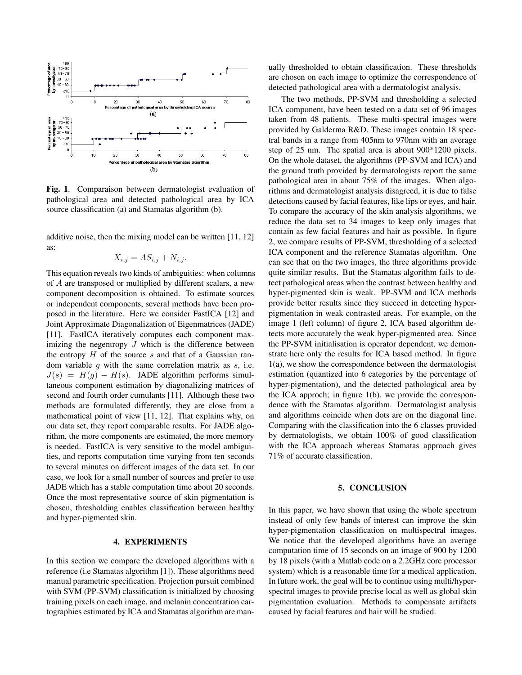

Fig. 1. Comparaison between dermatologist evaluation of pathological area and detected pathological area by ICA source classification (a) and Stamatas algorithm (b).

additive noise, then the mixing model can be written [11, 12] as:

$$
X_{i,j} = AS_{i,j} + N_{i,j}.
$$

This equation reveals two kinds of ambiguities: when columns of A are transposed or multiplied by different scalars, a new component decomposition is obtained. To estimate sources or independent components, several methods have been proposed in the literature. Here we consider FastICA [12] and Joint Approximate Diagonalization of Eigenmatrices (JADE) [11]. FastICA iteratively computes each component maximizing the negentropy  $J$  which is the difference between the entropy  $H$  of the source  $s$  and that of a Gaussian random variable  $g$  with the same correlation matrix as  $s$ , i.e.  $J(s) = H(g) - H(s)$ . JADE algorithm performs simultaneous component estimation by diagonalizing matrices of second and fourth order cumulants [11]. Although these two methods are formulated differently, they are close from a mathematical point of view [11, 12]. That explains why, on our data set, they report comparable results. For JADE algorithm, the more components are estimated, the more memory is needed. FastICA is very sensitive to the model ambiguities, and reports computation time varying from ten seconds to several minutes on different images of the data set. In our case, we look for a small number of sources and prefer to use JADE which has a stable computation time about 20 seconds. Once the most representative source of skin pigmentation is chosen, thresholding enables classification between healthy and hyper-pigmented skin.

#### 4. EXPERIMENTS

In this section we compare the developed algorithms with a reference (i.e Stamatas algorithm [1]). These algorithms need manual parametric specification. Projection pursuit combined with SVM (PP-SVM) classification is initialized by choosing training pixels on each image, and melanin concentration cartographies estimated by ICA and Stamatas algorithm are manually thresholded to obtain classification. These thresholds are chosen on each image to optimize the correspondence of detected pathological area with a dermatologist analysis.

The two methods, PP-SVM and thresholding a selected ICA component, have been tested on a data set of 96 images taken from 48 patients. These multi-spectral images were provided by Galderma R&D. These images contain 18 spectral bands in a range from 405nm to 970nm with an average step of 25 nm. The spatial area is about 900\*1200 pixels. On the whole dataset, the algorithms (PP-SVM and ICA) and the ground truth provided by dermatologists report the same pathological area in about 75% of the images. When algorithms and dermatologist analysis disagreed, it is due to false detections caused by facial features, like lips or eyes, and hair. To compare the accuracy of the skin analysis algorithms, we reduce the data set to 34 images to keep only images that contain as few facial features and hair as possible. In figure 2, we compare results of PP-SVM, thresholding of a selected ICA component and the reference Stamatas algorithm. One can see that on the two images, the three algorithms provide quite similar results. But the Stamatas algorithm fails to detect pathological areas when the contrast between healthy and hyper-pigmented skin is weak. PP-SVM and ICA methods provide better results since they succeed in detecting hyperpigmentation in weak contrasted areas. For example, on the image 1 (left column) of figure 2, ICA based algorithm detects more accurately the weak hyper-pigmented area. Since the PP-SVM initialisation is operator dependent, we demonstrate here only the results for ICA based method. In figure 1(a), we show the correspondence between the dermatologist estimation (quantized into 6 categories by the percentage of hyper-pigmentation), and the detected pathological area by the ICA approch; in figure 1(b), we provide the correspondence with the Stamatas algorithm. Dermatologist analysis and algorithms coincide when dots are on the diagonal line. Comparing with the classification into the 6 classes provided by dermatologists, we obtain 100% of good classification with the ICA approach whereas Stamatas approach gives 71% of accurate classification.

#### 5. CONCLUSION

In this paper, we have shown that using the whole spectrum instead of only few bands of interest can improve the skin hyper-pigmentation classification on multispectral images. We notice that the developed algorithms have an average computation time of 15 seconds on an image of 900 by 1200 by 18 pixels (with a Matlab code on a 2.2GHz core processor system) which is a reasonable time for a medical application. In future work, the goal will be to continue using multi/hyperspectral images to provide precise local as well as global skin pigmentation evaluation. Methods to compensate artifacts caused by facial features and hair will be studied.